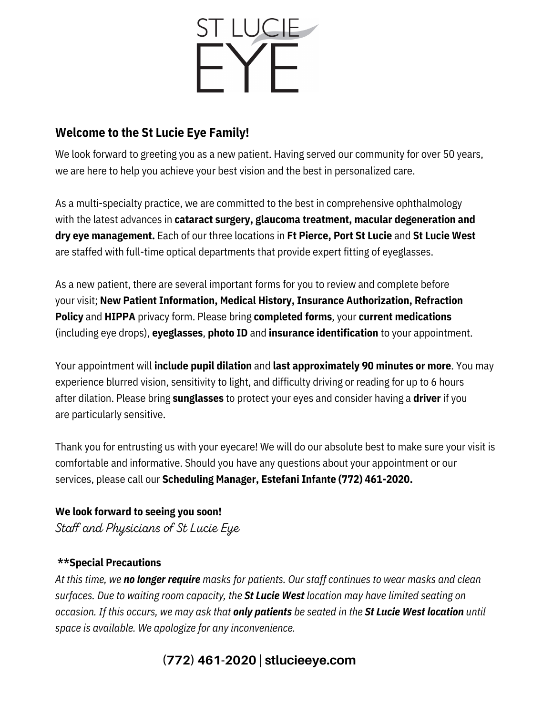

# **Welcome to the St Lucie Eye Family!**

We look forward to greeting you as a new patient. Having served our community for over 50 years, we are here to help you achieve your best vision and the best in personalized care.

As a multi-specialty practice, we are committed to the best in comprehensive ophthalmology with the latest advances in **cataract surgery, glaucoma treatment, macular degeneration and dry eye management.** Each of our three locations in **Ft Pierce, Port St Lucie** and **St Lucie West** are staffed with full-time optical departments that provide expert fitting of eyeglasses.

As a new patient, there are several important forms for you to review and complete before your visit; **New Patient Information, Medical History, Insurance Authorization, Refraction Policy** and **HIPPA** privacy form. Please bring **completed forms**, your **current medications** (including eye drops), **eyeglasses**, **photo ID** and **insurance identification** to your appointment.

Your appointment will **include pupil dilation** and **last approximately 90 minutes or more**. You may experience blurred vision, sensitivity to light, and difficulty driving or reading for up to 6 hours after dilation. Please bring **sunglasses** to protect your eyes and consider having a **driver** if you are particularly sensitive.

Thank you for entrusting us with your eyecare! We will do our absolute best to make sure your visit is comfortable and informative. Should you have any questions about your appointment or our services, please call our **Scheduling Manager, Estefani Infante (772) 461-2020.**

# **We look forward to seeing you soon!** Staff and Physicians of St Lucie Eye

# **\*\*Special Precautions**

*At this time, we no longer require masks for patients. Our staff continues to wear masks and clean surfaces. Due to waiting room capacity, the St Lucie West location may have limited seating on* occasion. If this occurs, we may ask that only patients be seated in the St Lucie West location until *space is available. We apologize for any inconvenience.*

# **(772) 461-2020 | stlucieeye.com**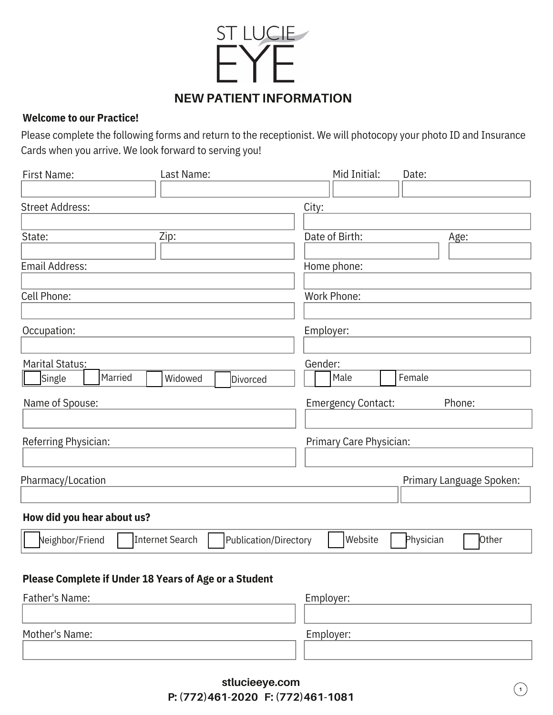

#### **Welcome to our Practice!**

Please complete the following forms and return to the receptionist. We will photocopy your photo ID and Insurance Cards when you arrive. We look forward to serving you!

| First Name:                                           | Last Name:                               |         | Mid Initial:              |  | Date:     |        |                          |
|-------------------------------------------------------|------------------------------------------|---------|---------------------------|--|-----------|--------|--------------------------|
|                                                       |                                          |         |                           |  |           |        |                          |
| <b>Street Address:</b>                                |                                          | City:   |                           |  |           |        |                          |
|                                                       |                                          |         |                           |  |           |        |                          |
| State:                                                | Zip:                                     |         | Date of Birth:            |  |           | Age:   |                          |
|                                                       |                                          |         |                           |  |           |        |                          |
| <b>Email Address:</b>                                 |                                          |         | Home phone:               |  |           |        |                          |
|                                                       |                                          |         |                           |  |           |        |                          |
| Cell Phone:                                           |                                          |         | Work Phone:               |  |           |        |                          |
|                                                       |                                          |         |                           |  |           |        |                          |
| Occupation:                                           |                                          |         | Employer:                 |  |           |        |                          |
|                                                       |                                          |         |                           |  |           |        |                          |
| <b>Marital Status:</b>                                |                                          | Gender: |                           |  |           |        |                          |
| Married<br>Single                                     | Widowed<br>Divorced                      |         | Male                      |  | Female    |        |                          |
|                                                       |                                          |         |                           |  |           |        |                          |
| Name of Spouse:                                       |                                          |         | <b>Emergency Contact:</b> |  |           | Phone: |                          |
|                                                       |                                          |         |                           |  |           |        |                          |
| Referring Physician:                                  |                                          |         | Primary Care Physician:   |  |           |        |                          |
|                                                       |                                          |         |                           |  |           |        |                          |
|                                                       |                                          |         |                           |  |           |        |                          |
| Pharmacy/Location                                     |                                          |         |                           |  |           |        | Primary Language Spoken: |
|                                                       |                                          |         |                           |  |           |        |                          |
| How did you hear about us?                            |                                          |         |                           |  |           |        |                          |
| Neighbor/Friend                                       | Internet Search<br>Publication/Directory |         | Website                   |  | Physician |        | Other                    |
|                                                       |                                          |         |                           |  |           |        |                          |
| Please Complete if Under 18 Years of Age or a Student |                                          |         |                           |  |           |        |                          |
| Father's Name:                                        |                                          |         | Employer:                 |  |           |        |                          |
|                                                       |                                          |         |                           |  |           |        |                          |
|                                                       |                                          |         |                           |  |           |        |                          |
| Mother's Name:                                        |                                          |         | Employer:                 |  |           |        |                          |
|                                                       |                                          |         |                           |  |           |        |                          |
|                                                       |                                          |         |                           |  |           |        |                          |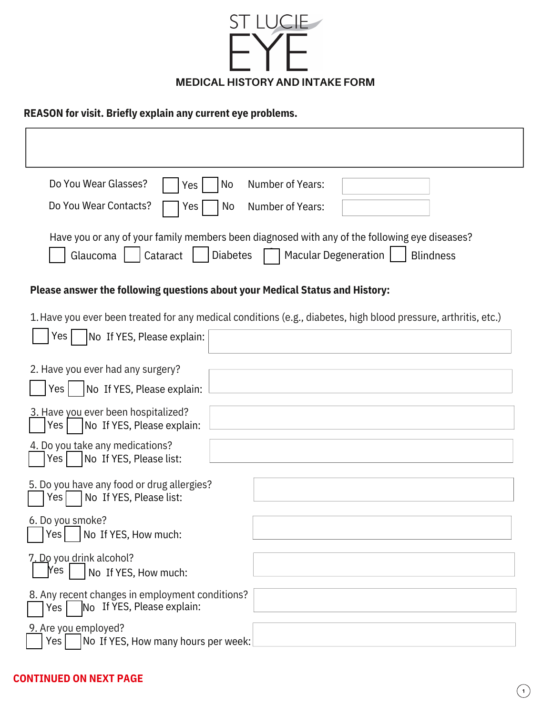

# **REASON for visit. Briefly explain any current eye problems.**

 $\mathbf{r}$ 

| Do You Wear Glasses?<br>Number of Years:<br>No<br>Yes                                                                                                                                       |
|---------------------------------------------------------------------------------------------------------------------------------------------------------------------------------------------|
| Do You Wear Contacts?<br>No<br>Number of Years:<br>Yes                                                                                                                                      |
| Have you or any of your family members been diagnosed with any of the following eye diseases?<br><b>Diabetes</b><br><b>Macular Degeneration</b><br>Glaucoma<br>Cataract<br><b>Blindness</b> |
| Please answer the following questions about your Medical Status and History:                                                                                                                |
| 1. Have you ever been treated for any medical conditions (e.g., diabetes, high blood pressure, arthritis, etc.)                                                                             |
| Yes  <br>No If YES, Please explain:                                                                                                                                                         |
| 2. Have you ever had any surgery?                                                                                                                                                           |
| No If YES, Please explain:<br>Yes                                                                                                                                                           |
| 3. Have you ever been hospitalized?<br>Yes<br>No If YES, Please explain:                                                                                                                    |
| 4. Do you take any medications?<br>Yes<br>No If YES, Please list:                                                                                                                           |
| 5. Do you have any food or drug allergies?<br>Yes<br>No If YES, Please list:                                                                                                                |
| 6. Do you smoke?<br>Yes<br>No If YES, How much:                                                                                                                                             |
| 7. Do you drink alcohol?<br>Yes<br>No If YES, How much:                                                                                                                                     |
| 8. Any recent changes in employment conditions?<br>No If YES, Please explain:<br>Yes                                                                                                        |
| 9. Are you employed?<br>Yes<br>No If YES, How many hours per week:                                                                                                                          |

#### **CONTINUED ON NEXT PAGE**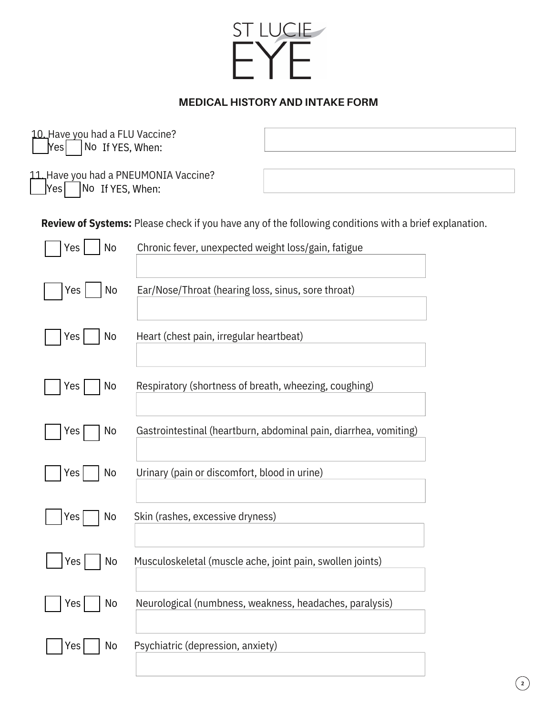

### **MEDICAL HISTORY AND INTAKE FORM**

| 10. Have you had a FLU Vaccine?<br>No If YES, When:<br>Yesl      |  |
|------------------------------------------------------------------|--|
| 11 Have you had a PNEUMONIA Vaccine?<br>No If YES, When:<br> Yes |  |

**Review of Systems:** Please check if you have any of the following conditions with a brief explanation.

| Yes<br>No   | Chronic fever, unexpected weight loss/gain, fatigue              |
|-------------|------------------------------------------------------------------|
|             |                                                                  |
|             |                                                                  |
| Yes<br>No   | Ear/Nose/Throat (hearing loss, sinus, sore throat)               |
|             |                                                                  |
| No<br>Yes   | Heart (chest pain, irregular heartbeat)                          |
|             |                                                                  |
|             |                                                                  |
| No<br>Yes   | Respiratory (shortness of breath, wheezing, coughing)            |
|             |                                                                  |
| No<br>Yes   | Gastrointestinal (heartburn, abdominal pain, diarrhea, vomiting) |
|             |                                                                  |
|             |                                                                  |
| Yes<br>No   | Urinary (pain or discomfort, blood in urine)                     |
|             |                                                                  |
| Yes  <br>No | Skin (rashes, excessive dryness)                                 |
|             |                                                                  |
| Yes<br>No   | Musculoskeletal (muscle ache, joint pain, swollen joints)        |
|             |                                                                  |
|             |                                                                  |
| No<br>Yes   | Neurological (numbness, weakness, headaches, paralysis)          |
|             |                                                                  |
| Yes<br>No   | Psychiatric (depression, anxiety)                                |
|             |                                                                  |
|             |                                                                  |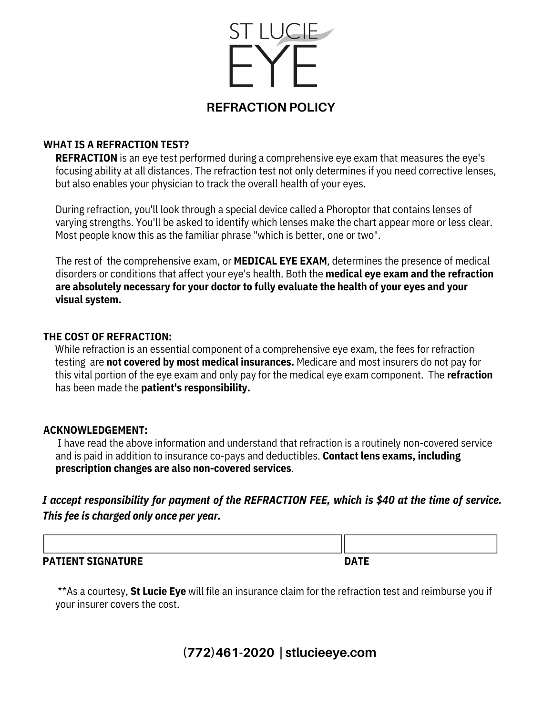

# **WHAT IS A REFRACTION TEST?**

**REFRACTION** is an eye test performed during a comprehensive eye exam that measures the eye's focusing ability at all distances. The refraction test not only determines if you need corrective lenses, but also enables your physician to track the overall health of your eyes.

During refraction, you'll look through a special device called a Phoroptor that contains lenses of varying strengths. You'll be asked to identify which lenses make the chart appear more or less clear. Most people know this as the familiar phrase "which is better, one or two".

The rest of the comprehensive exam, or **MEDICAL EYE EXAM**, determines the presence of medical disorders or conditions that affect your eye's health. Both the **medical eye exam and the refraction are absolutely necessary for your doctor to fully evaluate the health of your eyes and your visual system.**

### **THE COST OF REFRACTION:**

While refraction is an essential component of a comprehensive eye exam, the fees for refraction testing are **not covered by most medical insurances.** Medicare and most insurers do not pay for this vital portion of the eye exam and only pay for the medical eye exam component. The **refraction** has been made the **patient's responsibility.**

### **ACKNOWLEDGEMENT:**

I have read the above information and understand that refraction is a routinely non-covered service and is paid in addition to insurance co-pays and deductibles. **Contact lens exams, including prescription changes are also non-covered services**.

*I accept responsibility for payment of the REFRACTION FEE, which is \$40 at the time of service. This fee is charged only once per year.*

| <b>PATIENT SIGNATURE</b> | . |
|--------------------------|---|

\*\*As a courtesy, **St Lucie Eye** will file an insurance claim for the refraction test and reimburse you if your insurer covers the cost.

**(772)461-2020 | stlucieeye.com**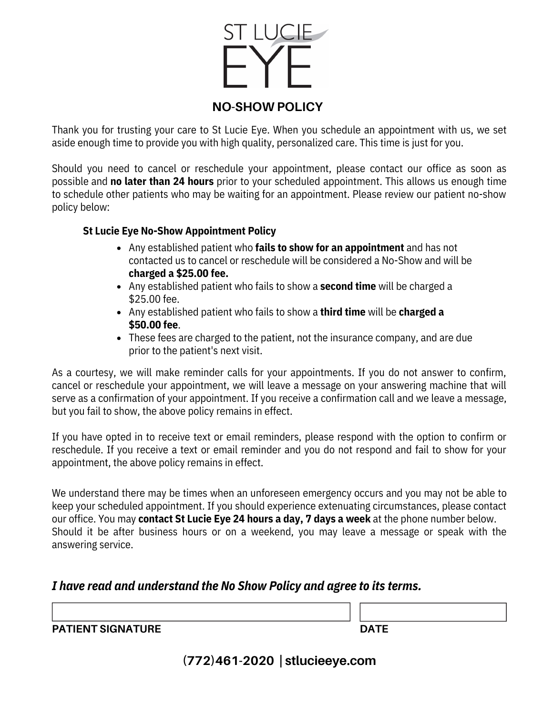

Thank you for trusting your care to St Lucie Eye. When you schedule an appointment with us, we set aside enough time to provide you with high quality, personalized care. This time is just for you.

Should you need to cancel or reschedule your appointment, please contact our office as soon as possible and **no later than 24 hours** prior to your scheduled appointment. This allows us enough time to schedule other patients who may be waiting for an appointment. Please review our patient no-show policy below:

# **St Lucie Eye No-Show Appointment Policy**

- Any established patient who **fails to show for an appointment** and has not contacted us to cancel or reschedule will be considered a No-Show and will be **charged a \$25.00 fee.**
- Any established patient who fails to show a **second time** will be charged a \$25.00 fee.
- Any established patient who fails to show a **third time** will be **charged a \$50.00 fee**.
- These fees are charged to the patient, not the insurance company, and are due prior to the patient's next visit.

As a courtesy, we will make reminder calls for your appointments. If you do not answer to confirm, cancel or reschedule your appointment, we will leave a message on your answering machine that will serve as a confirmation of your appointment. If you receive a confirmation call and we leave a message, but you fail to show, the above policy remains in effect.

If you have opted in to receive text or email reminders, please respond with the option to confirm or reschedule. If you receive a text or email reminder and you do not respond and fail to show for your appointment, the above policy remains in effect.

We understand there may be times when an unforeseen emergency occurs and you may not be able to keep your scheduled appointment. If you should experience extenuating circumstances, please contact our office. You may **contact St Lucie Eye 24 hours a day, 7 days a week** at the phone number below. Should it be after business hours or on a weekend, you may leave a message or speak with the answering service.

# *I have read and understand the No Show Policy and agree to its terms.*

**PATIENT SIGNATURE DATE**

**(772)461-2020 | stlucieeye.com**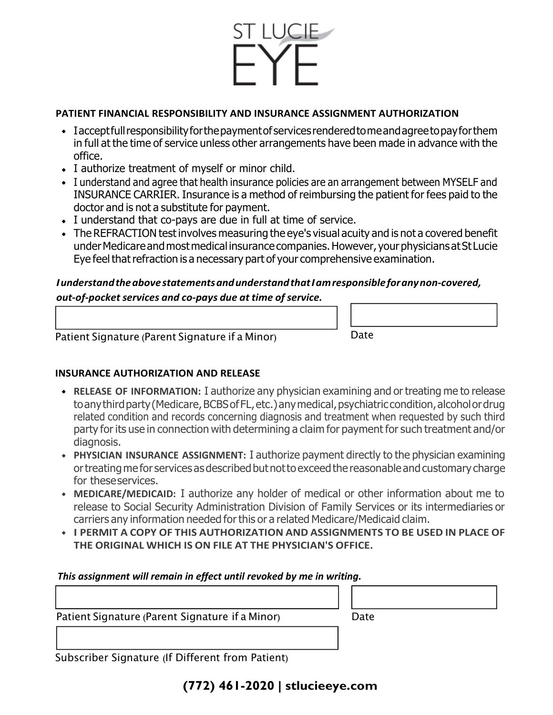

### **PATIENT FINANCIAL RESPONSIBILITY AND INSURANCE ASSIGNMENT AUTHORIZATION**

- Iacceptfullresponsibilityforthepaymentofservicesrenderedtomeandagreetopayforthem in full at the time of service unless other arrangements have been made in advance with the office.
- I authorize treatment of myself or minor child.
- I understand and agree that health insurance policies are an arrangement between MYSELF and INSURANCE CARRIER. Insurance is a method of reimbursing the patient for fees paid to the doctor and is not a substitute for payment.
- I understand that co-pays are due in full at time of service.
- The REFRACTION test involves measuring the eye's visual acuity and is not a covered benefit under Medicare and most medical insurance companies. However, your physicians at St Lucie Eye feel that refraction is a necessary part of your comprehensive examination.

# *IunderstandtheabovestatementsandunderstandthatIamresponsibleforanynon-covered,*

*out-of-pocket services and co-pays due at time of service.*

| Patient Signature (Parent Signature if a Minor) | Date |
|-------------------------------------------------|------|

### **INSURANCE AUTHORIZATION AND RELEASE**

- **RELEASE OF INFORMATION:** I authorize any physician examining and or treating me to release to any third party (Medicare, BCBS of FL, etc.) any medical, psychiatric condition, alcohol or drug related condition and records concerning diagnosis and treatment when requested by such third party for its use in connection with determining a claim for payment for such treatment and/or diagnosis.
- **PHYSICIAN INSURANCE ASSIGNMENT:** I authorize payment directly to the physician examining or treating me for services as described but not to exceed the reasonable and customary charge for theseservices.
- **MEDICARE/MEDICAID:** I authorize any holder of medical or other information about me to release to Social Security Administration Division of Family Services or its intermediaries or carriers any information needed forthis or a related Medicare/Medicaid claim.
- **I PERMIT A COPY OF THIS AUTHORIZATION AND ASSIGNMENTS TO BE USED IN PLACE OF THE ORIGINAL WHICH IS ON FILE AT THE PHYSICIAN'S OFFICE.**

#### *This assignment will remain in effect until revoked by me in writing.*

Patient Signature (Parent Signature if a Minor) Date

Subscriber Signature (If Different from Patient)